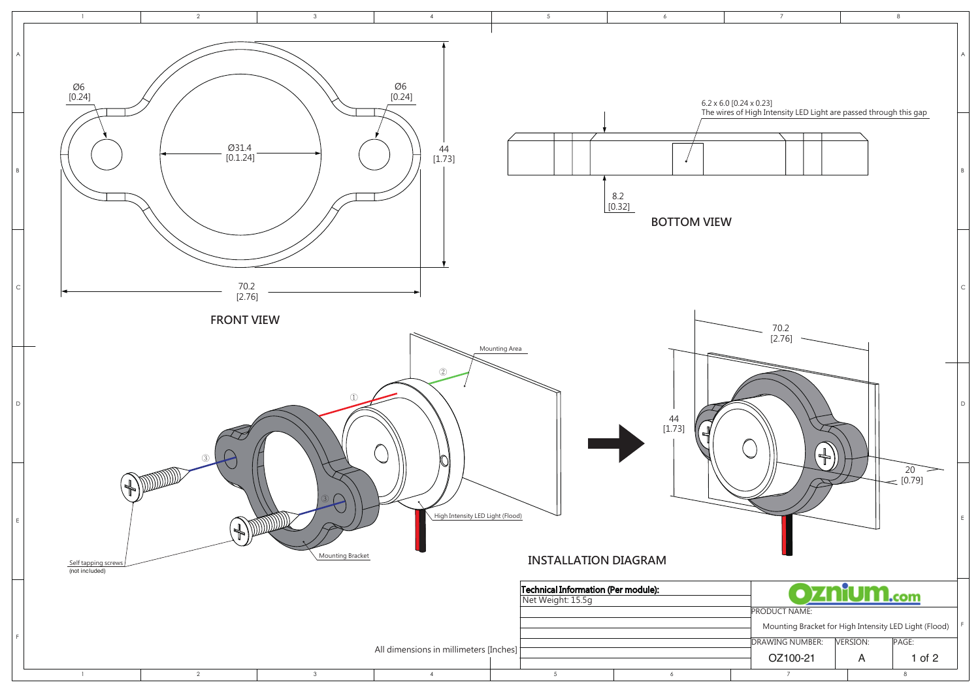